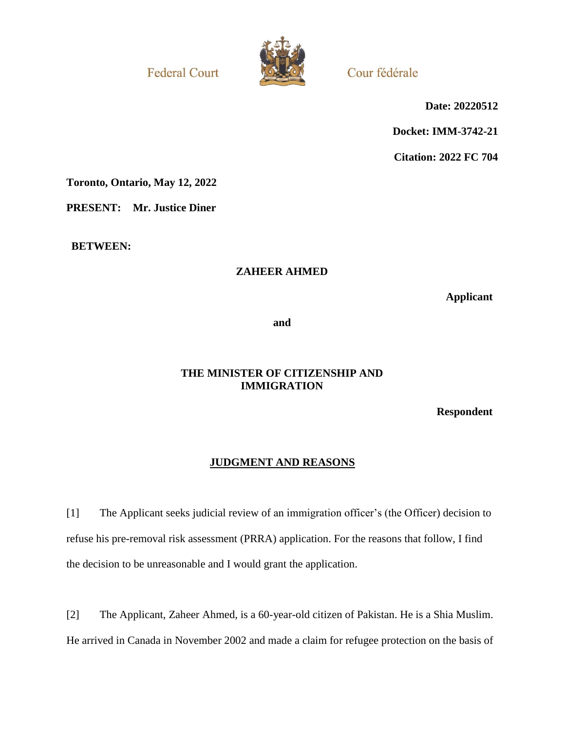**Federal Court** 



Cour fédérale

**Date: 20220512**

**Docket: IMM-3742-21**

**Citation: 2022 FC 704**

**Toronto, Ontario, May 12, 2022**

**PRESENT: Mr. Justice Diner**

**BETWEEN:**

### **ZAHEER AHMED**

**Applicant**

**and**

## **THE MINISTER OF CITIZENSHIP AND IMMIGRATION**

**Respondent**

# **JUDGMENT AND REASONS**

[1] The Applicant seeks judicial review of an immigration officer's (the Officer) decision to refuse his pre-removal risk assessment (PRRA) application. For the reasons that follow, I find the decision to be unreasonable and I would grant the application.

[2] The Applicant, Zaheer Ahmed, is a 60-year-old citizen of Pakistan. He is a Shia Muslim. He arrived in Canada in November 2002 and made a claim for refugee protection on the basis of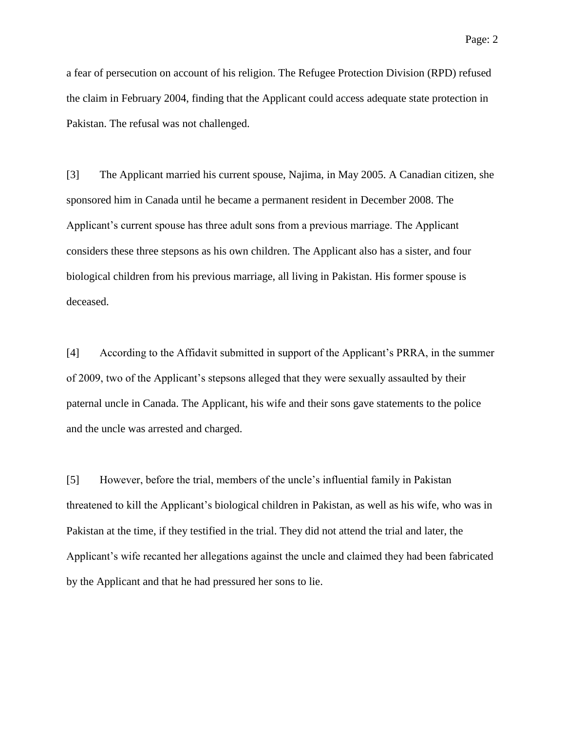a fear of persecution on account of his religion. The Refugee Protection Division (RPD) refused the claim in February 2004, finding that the Applicant could access adequate state protection in Pakistan. The refusal was not challenged.

[3] The Applicant married his current spouse, Najima, in May 2005. A Canadian citizen, she sponsored him in Canada until he became a permanent resident in December 2008. The Applicant's current spouse has three adult sons from a previous marriage. The Applicant considers these three stepsons as his own children. The Applicant also has a sister, and four biological children from his previous marriage, all living in Pakistan. His former spouse is deceased.

[4] According to the Affidavit submitted in support of the Applicant's PRRA, in the summer of 2009, two of the Applicant's stepsons alleged that they were sexually assaulted by their paternal uncle in Canada. The Applicant, his wife and their sons gave statements to the police and the uncle was arrested and charged.

[5] However, before the trial, members of the uncle's influential family in Pakistan threatened to kill the Applicant's biological children in Pakistan, as well as his wife, who was in Pakistan at the time, if they testified in the trial. They did not attend the trial and later, the Applicant's wife recanted her allegations against the uncle and claimed they had been fabricated by the Applicant and that he had pressured her sons to lie.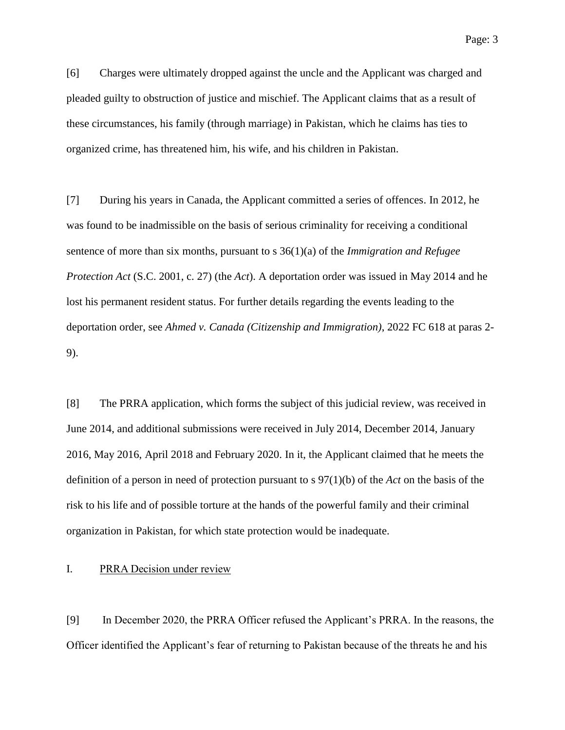[6] Charges were ultimately dropped against the uncle and the Applicant was charged and pleaded guilty to obstruction of justice and mischief. The Applicant claims that as a result of these circumstances, his family (through marriage) in Pakistan, which he claims has ties to organized crime, has threatened him, his wife, and his children in Pakistan.

[7] During his years in Canada, the Applicant committed a series of offences. In 2012, he was found to be inadmissible on the basis of serious criminality for receiving a conditional sentence of more than six months, pursuant to s 36(1)(a) of the *Immigration and Refugee Protection Act* (S.C. 2001, c. 27) (the *Act*). A deportation order was issued in May 2014 and he lost his permanent resident status. For further details regarding the events leading to the deportation order, see *Ahmed v. Canada (Citizenship and Immigration)*, 2022 FC 618 at paras 2- 9).

[8] The PRRA application, which forms the subject of this judicial review, was received in June 2014, and additional submissions were received in July 2014, December 2014, January 2016, May 2016, April 2018 and February 2020. In it, the Applicant claimed that he meets the definition of a person in need of protection pursuant to s 97(1)(b) of the *Act* on the basis of the risk to his life and of possible torture at the hands of the powerful family and their criminal organization in Pakistan, for which state protection would be inadequate.

### I. PRRA Decision under review

[9] In December 2020, the PRRA Officer refused the Applicant's PRRA. In the reasons, the Officer identified the Applicant's fear of returning to Pakistan because of the threats he and his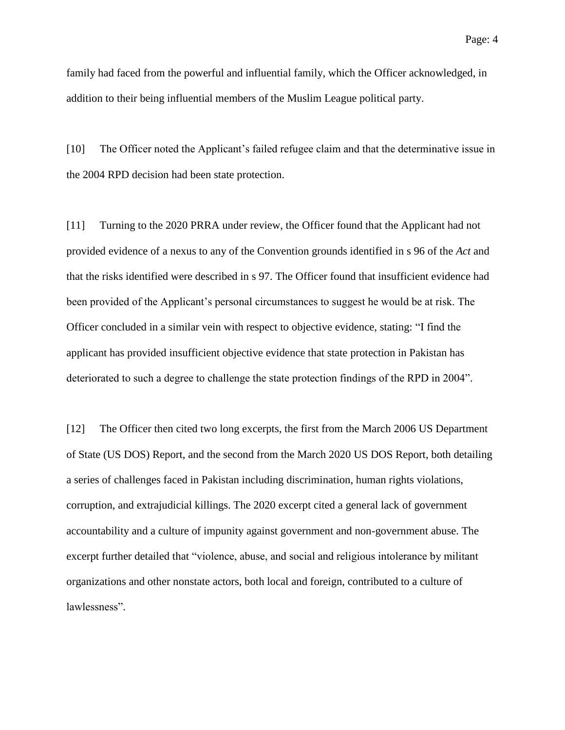family had faced from the powerful and influential family, which the Officer acknowledged, in addition to their being influential members of the Muslim League political party.

[10] The Officer noted the Applicant's failed refugee claim and that the determinative issue in the 2004 RPD decision had been state protection.

[11] Turning to the 2020 PRRA under review, the Officer found that the Applicant had not provided evidence of a nexus to any of the Convention grounds identified in s 96 of the *Act* and that the risks identified were described in s 97. The Officer found that insufficient evidence had been provided of the Applicant's personal circumstances to suggest he would be at risk. The Officer concluded in a similar vein with respect to objective evidence, stating: "I find the applicant has provided insufficient objective evidence that state protection in Pakistan has deteriorated to such a degree to challenge the state protection findings of the RPD in 2004".

[12] The Officer then cited two long excerpts, the first from the March 2006 US Department of State (US DOS) Report, and the second from the March 2020 US DOS Report, both detailing a series of challenges faced in Pakistan including discrimination, human rights violations, corruption, and extrajudicial killings. The 2020 excerpt cited a general lack of government accountability and a culture of impunity against government and non-government abuse. The excerpt further detailed that "violence, abuse, and social and religious intolerance by militant organizations and other nonstate actors, both local and foreign, contributed to a culture of lawlessness".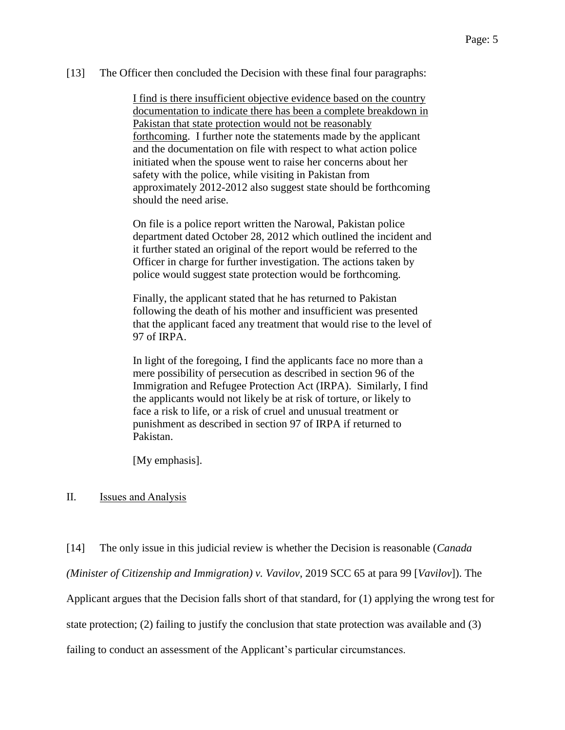#### [13] The Officer then concluded the Decision with these final four paragraphs:

I find is there insufficient objective evidence based on the country documentation to indicate there has been a complete breakdown in Pakistan that state protection would not be reasonably forthcoming. I further note the statements made by the applicant and the documentation on file with respect to what action police initiated when the spouse went to raise her concerns about her safety with the police, while visiting in Pakistan from approximately 2012-2012 also suggest state should be forthcoming should the need arise.

On file is a police report written the Narowal, Pakistan police department dated October 28, 2012 which outlined the incident and it further stated an original of the report would be referred to the Officer in charge for further investigation. The actions taken by police would suggest state protection would be forthcoming.

Finally, the applicant stated that he has returned to Pakistan following the death of his mother and insufficient was presented that the applicant faced any treatment that would rise to the level of 97 of IRPA.

In light of the foregoing, I find the applicants face no more than a mere possibility of persecution as described in section 96 of the Immigration and Refugee Protection Act (IRPA). Similarly, I find the applicants would not likely be at risk of torture, or likely to face a risk to life, or a risk of cruel and unusual treatment or punishment as described in section 97 of IRPA if returned to Pakistan.

[My emphasis].

#### II. Issues and Analysis

[14] The only issue in this judicial review is whether the Decision is reasonable (*Canada (Minister of Citizenship and Immigration) v. Vavilov*, 2019 SCC 65 at para 99 [*Vavilov*]). The Applicant argues that the Decision falls short of that standard, for (1) applying the wrong test for state protection; (2) failing to justify the conclusion that state protection was available and (3) failing to conduct an assessment of the Applicant's particular circumstances.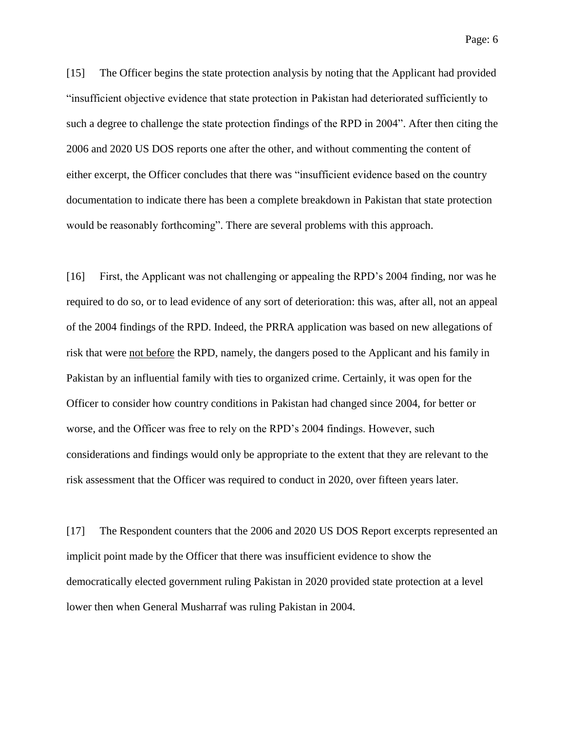[15] The Officer begins the state protection analysis by noting that the Applicant had provided "insufficient objective evidence that state protection in Pakistan had deteriorated sufficiently to such a degree to challenge the state protection findings of the RPD in 2004". After then citing the 2006 and 2020 US DOS reports one after the other, and without commenting the content of either excerpt, the Officer concludes that there was "insufficient evidence based on the country documentation to indicate there has been a complete breakdown in Pakistan that state protection would be reasonably forthcoming". There are several problems with this approach.

[16] First, the Applicant was not challenging or appealing the RPD's 2004 finding, nor was he required to do so, or to lead evidence of any sort of deterioration: this was, after all, not an appeal of the 2004 findings of the RPD. Indeed, the PRRA application was based on new allegations of risk that were not before the RPD, namely, the dangers posed to the Applicant and his family in Pakistan by an influential family with ties to organized crime. Certainly, it was open for the Officer to consider how country conditions in Pakistan had changed since 2004, for better or worse, and the Officer was free to rely on the RPD's 2004 findings. However, such considerations and findings would only be appropriate to the extent that they are relevant to the risk assessment that the Officer was required to conduct in 2020, over fifteen years later.

[17] The Respondent counters that the 2006 and 2020 US DOS Report excerpts represented an implicit point made by the Officer that there was insufficient evidence to show the democratically elected government ruling Pakistan in 2020 provided state protection at a level lower then when General Musharraf was ruling Pakistan in 2004.

Page: 6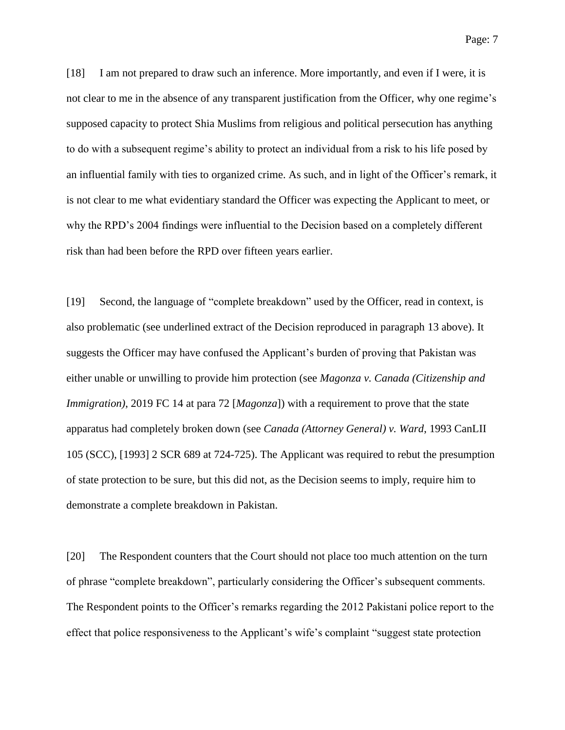Page: 7

[18] I am not prepared to draw such an inference. More importantly, and even if I were, it is not clear to me in the absence of any transparent justification from the Officer, why one regime's supposed capacity to protect Shia Muslims from religious and political persecution has anything to do with a subsequent regime's ability to protect an individual from a risk to his life posed by an influential family with ties to organized crime. As such, and in light of the Officer's remark, it is not clear to me what evidentiary standard the Officer was expecting the Applicant to meet, or why the RPD's 2004 findings were influential to the Decision based on a completely different risk than had been before the RPD over fifteen years earlier.

[19] Second, the language of "complete breakdown" used by the Officer, read in context, is also problematic (see underlined extract of the Decision reproduced in paragraph 13 above). It suggests the Officer may have confused the Applicant's burden of proving that Pakistan was either unable or unwilling to provide him protection (see *Magonza v. Canada (Citizenship and Immigration)*, 2019 FC 14 at para 72 [*Magonza*]) with a requirement to prove that the state apparatus had completely broken down (see *Canada (Attorney General) v. Ward*, 1993 CanLII 105 (SCC), [1993] 2 SCR 689 at 724-725). The Applicant was required to rebut the presumption of state protection to be sure, but this did not, as the Decision seems to imply, require him to demonstrate a complete breakdown in Pakistan.

[20] The Respondent counters that the Court should not place too much attention on the turn of phrase "complete breakdown", particularly considering the Officer's subsequent comments. The Respondent points to the Officer's remarks regarding the 2012 Pakistani police report to the effect that police responsiveness to the Applicant's wife's complaint "suggest state protection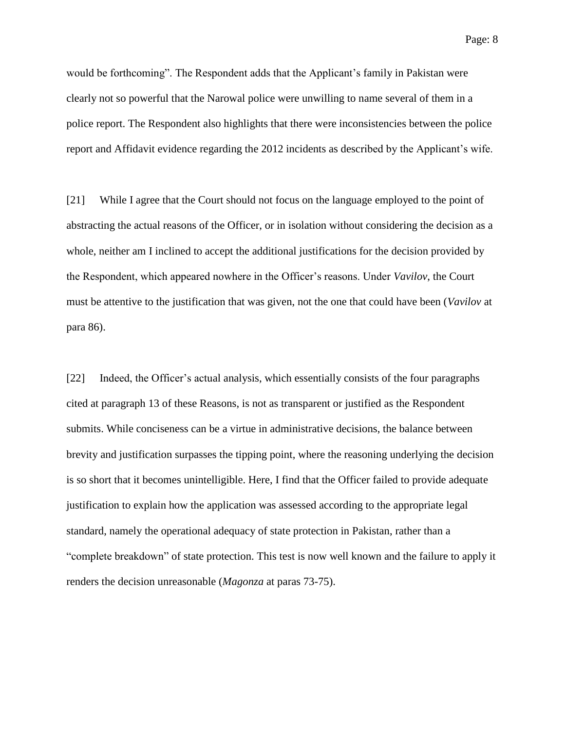would be forthcoming". The Respondent adds that the Applicant's family in Pakistan were clearly not so powerful that the Narowal police were unwilling to name several of them in a police report. The Respondent also highlights that there were inconsistencies between the police report and Affidavit evidence regarding the 2012 incidents as described by the Applicant's wife.

[21] While I agree that the Court should not focus on the language employed to the point of abstracting the actual reasons of the Officer, or in isolation without considering the decision as a whole, neither am I inclined to accept the additional justifications for the decision provided by the Respondent, which appeared nowhere in the Officer's reasons. Under *Vavilov*, the Court must be attentive to the justification that was given, not the one that could have been (*Vavilov* at para 86).

[22] Indeed, the Officer's actual analysis, which essentially consists of the four paragraphs cited at paragraph 13 of these Reasons, is not as transparent or justified as the Respondent submits. While conciseness can be a virtue in administrative decisions, the balance between brevity and justification surpasses the tipping point, where the reasoning underlying the decision is so short that it becomes unintelligible. Here, I find that the Officer failed to provide adequate justification to explain how the application was assessed according to the appropriate legal standard, namely the operational adequacy of state protection in Pakistan, rather than a "complete breakdown" of state protection. This test is now well known and the failure to apply it renders the decision unreasonable (*Magonza* at paras 73-75).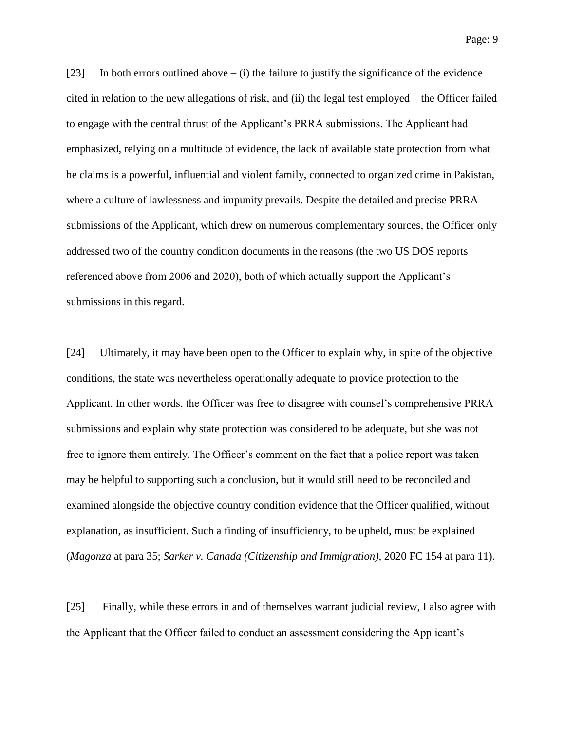Page: 9

[23] In both errors outlined above  $-$  (i) the failure to justify the significance of the evidence cited in relation to the new allegations of risk, and (ii) the legal test employed – the Officer failed to engage with the central thrust of the Applicant's PRRA submissions. The Applicant had emphasized, relying on a multitude of evidence, the lack of available state protection from what he claims is a powerful, influential and violent family, connected to organized crime in Pakistan, where a culture of lawlessness and impunity prevails. Despite the detailed and precise PRRA submissions of the Applicant, which drew on numerous complementary sources, the Officer only addressed two of the country condition documents in the reasons (the two US DOS reports referenced above from 2006 and 2020), both of which actually support the Applicant's submissions in this regard.

[24] Ultimately, it may have been open to the Officer to explain why, in spite of the objective conditions, the state was nevertheless operationally adequate to provide protection to the Applicant. In other words, the Officer was free to disagree with counsel's comprehensive PRRA submissions and explain why state protection was considered to be adequate, but she was not free to ignore them entirely. The Officer's comment on the fact that a police report was taken may be helpful to supporting such a conclusion, but it would still need to be reconciled and examined alongside the objective country condition evidence that the Officer qualified, without explanation, as insufficient. Such a finding of insufficiency, to be upheld, must be explained (*Magonza* at para 35; *Sarker v. Canada (Citizenship and Immigration)*, 2020 FC 154 at para 11).

[25] Finally, while these errors in and of themselves warrant judicial review, I also agree with the Applicant that the Officer failed to conduct an assessment considering the Applicant's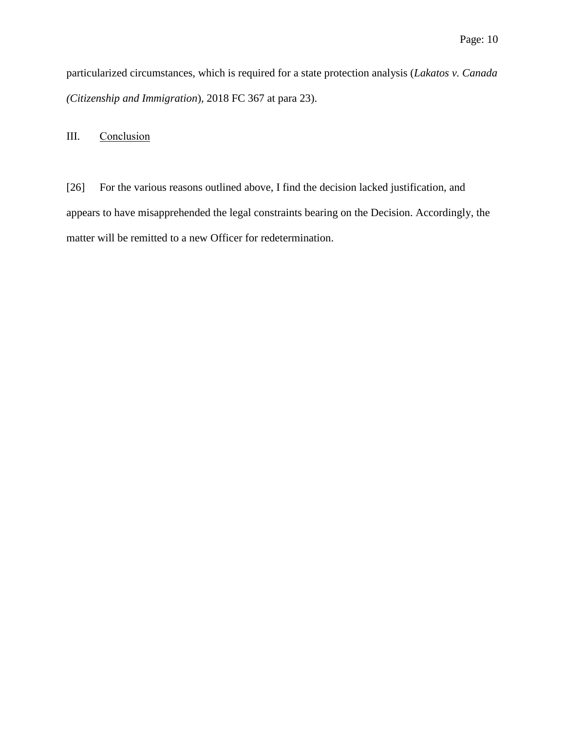particularized circumstances, which is required for a state protection analysis (*Lakatos v. Canada (Citizenship and Immigration*), 2018 FC 367 at para 23).

III. Conclusion

[26] For the various reasons outlined above, I find the decision lacked justification, and appears to have misapprehended the legal constraints bearing on the Decision. Accordingly, the matter will be remitted to a new Officer for redetermination.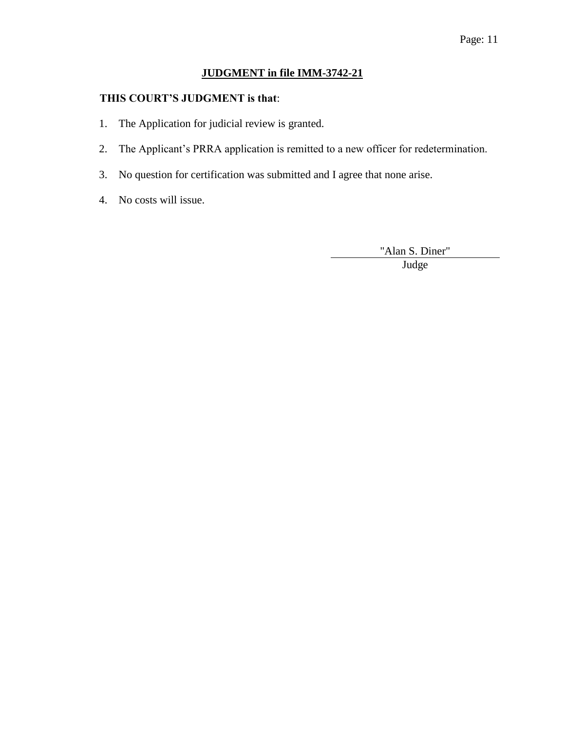# **JUDGMENT in file IMM-3742-21**

## **THIS COURT'S JUDGMENT is that**:

- 1. The Application for judicial review is granted.
- 2. The Applicant's PRRA application is remitted to a new officer for redetermination.
- 3. No question for certification was submitted and I agree that none arise.
- 4. No costs will issue.

"Alan S. Diner"

Judge